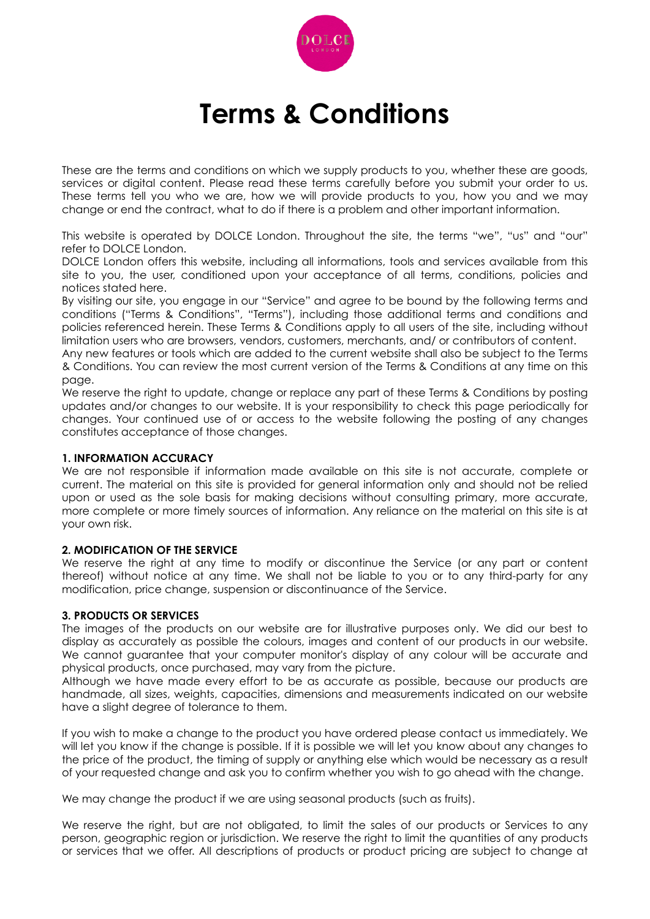

# **Terms & Conditions**

These are the terms and conditions on which we supply products to you, whether these are goods, services or digital content. Please read these terms carefully before you submit your order to us. These terms tell you who we are, how we will provide products to you, how you and we may change or end the contract, what to do if there is a problem and other important information.

This website is operated by DOLCE London. Throughout the site, the terms "we", "us" and "our" refer to DOLCE London.

DOLCE London offers this website, including all informations, tools and services available from this site to you, the user, conditioned upon your acceptance of all terms, conditions, policies and notices stated here.

By visiting our site, you engage in our "Service" and agree to be bound by the following terms and conditions ("Terms & Conditions", "Terms"), including those additional terms and conditions and policies referenced herein. These Terms & Conditions apply to all users of the site, including without limitation users who are browsers, vendors, customers, merchants, and/ or contributors of content.

Any new features or tools which are added to the current website shall also be subject to the Terms & Conditions. You can review the most current version of the Terms & Conditions at any time on this page.

We reserve the right to update, change or replace any part of these Terms & Conditions by posting updates and/or changes to our website. It is your responsibility to check this page periodically for changes. Your continued use of or access to the website following the posting of any changes constitutes acceptance of those changes.

#### **1. INFORMATION ACCURACY**

We are not responsible if information made available on this site is not accurate, complete or current. The material on this site is provided for general information only and should not be relied upon or used as the sole basis for making decisions without consulting primary, more accurate, more complete or more timely sources of information. Any reliance on the material on this site is at your own risk.

## **2. MODIFICATION OF THE SERVICE**

We reserve the right at any time to modify or discontinue the Service (or any part or content thereof) without notice at any time. We shall not be liable to you or to any third-party for any modification, price change, suspension or discontinuance of the Service.

#### **3. PRODUCTS OR SERVICES**

The images of the products on our website are for illustrative purposes only. We did our best to display as accurately as possible the colours, images and content of our products in our website. We cannot guarantee that your computer monitor's display of any colour will be accurate and physical products, once purchased, may vary from the picture.

Although we have made every effort to be as accurate as possible, because our products are handmade, all sizes, weights, capacities, dimensions and measurements indicated on our website have a slight degree of tolerance to them.

If you wish to make a change to the product you have ordered please contact us immediately. We will let you know if the change is possible. If it is possible we will let you know about any changes to the price of the product, the timing of supply or anything else which would be necessary as a result of your requested change and ask you to confirm whether you wish to go ahead with the change.

We may change the product if we are using seasonal products (such as fruits).

We reserve the right, but are not obligated, to limit the sales of our products or Services to any person, geographic region or jurisdiction. We reserve the right to limit the quantities of any products or services that we offer. All descriptions of products or product pricing are subject to change at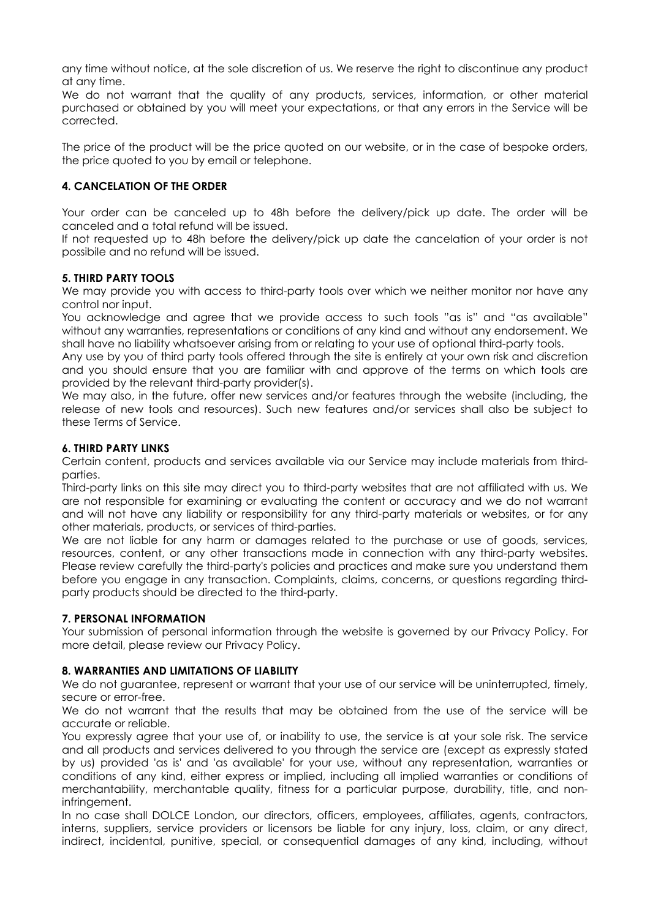any time without notice, at the sole discretion of us. We reserve the right to discontinue any product at any time.

We do not warrant that the quality of any products, services, information, or other material purchased or obtained by you will meet your expectations, or that any errors in the Service will be corrected.

The price of the product will be the price quoted on our website, or in the case of bespoke orders, the price quoted to you by email or telephone.

#### **4. CANCELATION OF THE ORDER**

Your order can be canceled up to 48h before the delivery/pick up date. The order will be canceled and a total refund will be issued.

If not requested up to 48h before the delivery/pick up date the cancelation of your order is not possibile and no refund will be issued.

#### **5. THIRD PARTY TOOLS**

We may provide you with access to third-party tools over which we neither monitor nor have any control nor input.

You acknowledge and agree that we provide access to such tools "as is" and "as available" without any warranties, representations or conditions of any kind and without any endorsement. We shall have no liability whatsoever arising from or relating to your use of optional third-party tools.

Any use by you of third party tools offered through the site is entirely at your own risk and discretion and you should ensure that you are familiar with and approve of the terms on which tools are provided by the relevant third-party provider(s).

We may also, in the future, offer new services and/or features through the website (including, the release of new tools and resources). Such new features and/or services shall also be subject to these Terms of Service.

#### **6. THIRD PARTY LINKS**

Certain content, products and services available via our Service may include materials from thirdparties.

Third-party links on this site may direct you to third-party websites that are not affiliated with us. We are not responsible for examining or evaluating the content or accuracy and we do not warrant and will not have any liability or responsibility for any third-party materials or websites, or for any other materials, products, or services of third-parties.

We are not liable for any harm or damages related to the purchase or use of goods, services, resources, content, or any other transactions made in connection with any third-party websites. Please review carefully the third-party's policies and practices and make sure you understand them before you engage in any transaction. Complaints, claims, concerns, or questions regarding thirdparty products should be directed to the third-party.

#### **7. PERSONAL INFORMATION**

Your submission of personal information through the website is governed by our Privacy Policy. For more detail, please review our Privacy Policy.

#### **8. WARRANTIES AND LIMITATIONS OF LIABILITY**

We do not guarantee, represent or warrant that your use of our service will be uninterrupted, timely, secure or error-free.

We do not warrant that the results that may be obtained from the use of the service will be accurate or reliable.

You expressly agree that your use of, or inability to use, the service is at your sole risk. The service and all products and services delivered to you through the service are (except as expressly stated by us) provided 'as is' and 'as available' for your use, without any representation, warranties or conditions of any kind, either express or implied, including all implied warranties or conditions of merchantability, merchantable quality, fitness for a particular purpose, durability, title, and noninfringement.

In no case shall DOLCE London, our directors, officers, employees, affiliates, agents, contractors, interns, suppliers, service providers or licensors be liable for any injury, loss, claim, or any direct, indirect, incidental, punitive, special, or consequential damages of any kind, including, without